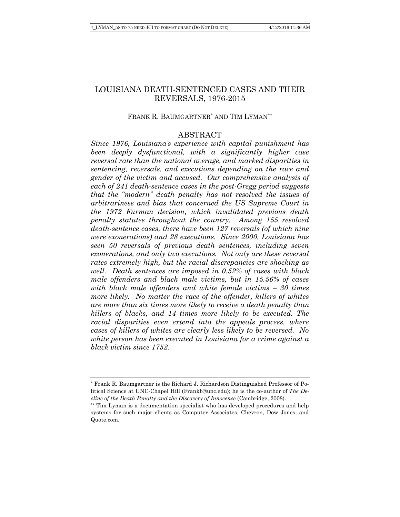# LOUISIANA DEATH-SENTENCED CASES AND THEIR REVERSALS, 1976-2015

### FRANK R. BAUMGARTNER\* AND TIM LYMAN\*\*

# ABSTRACT

*Since 1976, Louisiana's experience with capital punishment has been deeply dysfunctional, with a significantly higher case reversal rate than the national average, and marked disparities in sentencing, reversals, and executions depending on the race and gender of the victim and accused. Our comprehensive analysis of each of 241 death-sentence cases in the post-Gregg period suggests that the "modern" death penalty has not resolved the issues of arbitrariness and bias that concerned the US Supreme Court in the 1972 Furman decision, which invalidated previous death penalty statutes throughout the country. Among 155 resolved death-sentence cases, there have been 127 reversals (of which nine were exonerations) and 28 executions. Since 2000, Louisiana has seen 50 reversals of previous death sentences, including seven exonerations, and only two executions. Not only are these reversal rates extremely high, but the racial discrepancies are shocking as well. Death sentences are imposed in 0.52% of cases with black male offenders and black male victims, but in 15.56% of cases with black male offenders and white female victims – 30 times more likely.* No matter the race of the offender, killers of whites *are more than six times more likely to receive a death penalty than killers of blacks, and 14 times more likely to be executed. The racial disparities even extend into the appeals process, where cases of killers of whites are clearly less likely to be reversed. No white person has been executed in Louisiana for a crime against a black victim since 1752.* 

<sup>\*</sup> Frank R. Baumgartner is the Richard J. Richardson Distinguished Professor of Political Science at UNC-Chapel Hill (Frankb@unc.edu); he is the co-author of *The Decline of the Death Penalty and the Discovery of Innocence* (Cambridge, 2008).

<sup>\*\*</sup> Tim Lyman is a documentation specialist who has developed procedures and help systems for such major clients as Computer Associates, Chevron, Dow Jones, and Quote.com.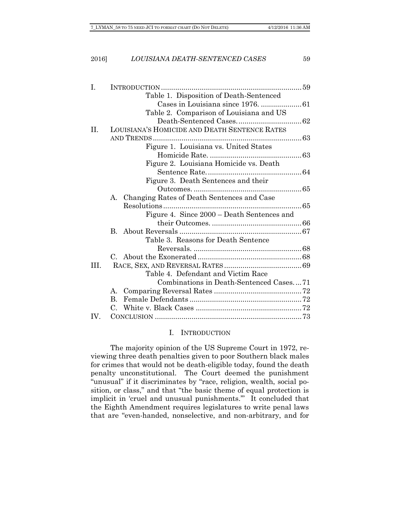#### 2016] *LOUISIANA DEATH-SENTENCED CASES* 59

| Ι.  |                                               |  |
|-----|-----------------------------------------------|--|
|     | Table 1. Disposition of Death-Sentenced       |  |
|     |                                               |  |
|     | Table 2. Comparison of Louisiana and US       |  |
|     |                                               |  |
| II. | LOUISIANA'S HOMICIDE AND DEATH SENTENCE RATES |  |
|     |                                               |  |
|     | Figure 1. Louisiana vs. United States         |  |
|     |                                               |  |
|     | Figure 2. Louisiana Homicide vs. Death        |  |
|     |                                               |  |
|     | Figure 3. Death Sentences and their           |  |
|     |                                               |  |
|     | A. Changing Rates of Death Sentences and Case |  |
|     |                                               |  |
|     | Figure 4. Since 2000 – Death Sentences and    |  |
|     |                                               |  |
|     | $\mathbf{B}$                                  |  |
|     | Table 3. Reasons for Death Sentence           |  |
|     |                                               |  |
|     |                                               |  |
| HL. |                                               |  |
|     | Table 4. Defendant and Victim Race            |  |
|     | Combinations in Death-Sentenced Cases71       |  |
|     | Α.                                            |  |
|     | $\mathbf{B}$ .                                |  |
|     |                                               |  |
| IV. |                                               |  |

#### I. INTRODUCTION

The majority opinion of the US Supreme Court in 1972, reviewing three death penalties given to poor Southern black males for crimes that would not be death-eligible today, found the death penalty unconstitutional. The Court deemed the punishment "unusual" if it discriminates by "race, religion, wealth, social position, or class," and that "the basic theme of equal protection is implicit in 'cruel and unusual punishments.'" It concluded that the Eighth Amendment requires legislatures to write penal laws that are "even-handed, nonselective, and non-arbitrary, and for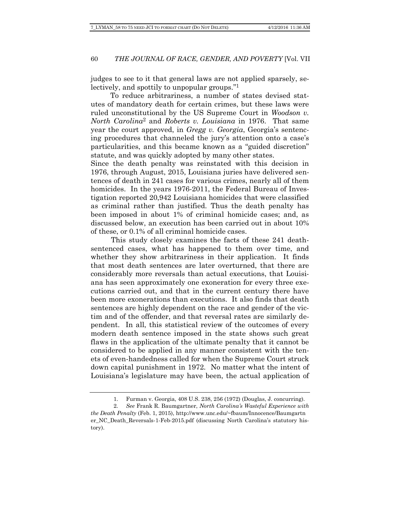judges to see to it that general laws are not applied sparsely, selectively, and spottily to unpopular groups."1

To reduce arbitrariness, a number of states devised statutes of mandatory death for certain crimes, but these laws were ruled unconstitutional by the US Supreme Court in *Woodson v. North Carolina*2 and *Roberts v. Louisiana* in 1976. That same year the court approved, in *Gregg v. Georgia*, Georgia's sentencing procedures that channeled the jury's attention onto a case's particularities, and this became known as a "guided discretion" statute, and was quickly adopted by many other states.

Since the death penalty was reinstated with this decision in 1976, through August, 2015, Louisiana juries have delivered sentences of death in 241 cases for various crimes, nearly all of them homicides. In the years 1976-2011, the Federal Bureau of Investigation reported 20,942 Louisiana homicides that were classified as criminal rather than justified. Thus the death penalty has been imposed in about 1% of criminal homicide cases; and, as discussed below, an execution has been carried out in about 10% of these, or 0.1% of all criminal homicide cases.

 This study closely examines the facts of these 241 deathsentenced cases, what has happened to them over time, and whether they show arbitrariness in their application. It finds that most death sentences are later overturned, that there are considerably more reversals than actual executions, that Louisiana has seen approximately one exoneration for every three executions carried out, and that in the current century there have been more exonerations than executions. It also finds that death sentences are highly dependent on the race and gender of the victim and of the offender, and that reversal rates are similarly dependent. In all, this statistical review of the outcomes of every modern death sentence imposed in the state shows such great flaws in the application of the ultimate penalty that it cannot be considered to be applied in any manner consistent with the tenets of even-handedness called for when the Supreme Court struck down capital punishment in 1972. No matter what the intent of Louisiana's legislature may have been, the actual application of

 <sup>1.</sup> Furman v. Georgia, 408 U.S. 238, 256 (1972) (Douglas, J. concurring).

 <sup>2.</sup> *See* Frank R. Baumgartner, *North Carolina's Wasteful Experience with the Death Penalty* (Feb. 1, 2015), http://www.unc.edu/~fbaum/Innocence/Baumgartn er\_NC\_Death\_Reversals-1-Feb-2015.pdf (discussing North Carolina's statutory history).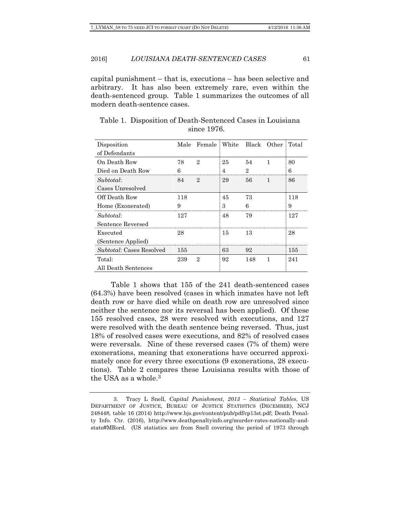capital punishment – that is, executions – has been selective and arbitrary. It has also been extremely rare, even within the death-sentenced group. Table 1 summarizes the outcomes of all modern death-sentence cases.

| Disposition                     | Male | Female   White |    |     | - Black - Other | Total |
|---------------------------------|------|----------------|----|-----|-----------------|-------|
| of Defendants                   |      |                |    |     |                 |       |
| On Death Row                    | 78   | 9.             | 25 | 54  |                 | 80    |
| Died on Death Row               | հ    |                |    | 9.  |                 | 6     |
| Subtotal:                       | 84   | 9.             | 29 | 56  |                 | 86    |
| Cases Unresolved                |      |                |    |     |                 |       |
| Off Death Row                   | 118  |                | 45 | 73  |                 | 118   |
| Home (Exonerated)               | 9    |                | 3  | հ   |                 | 9     |
| Subtotal:                       | 127  |                | 48 | 79  |                 | 127   |
| Sentence Reversed               |      |                |    |     |                 |       |
| Executed                        | 28   |                | 15 | 13  |                 | 28    |
| (Sentence Applied)              |      |                |    |     |                 |       |
| <i>Subtotal:</i> Cases Resolved | 155  |                | 63 | 92  |                 | 155   |
| Total:                          | 239  | 9.             | 92 | 148 |                 | 241   |
| All Death Sentences             |      |                |    |     |                 |       |

Table 1. Disposition of Death-Sentenced Cases in Louisiana since 1976.

 Table 1 shows that 155 of the 241 death-sentenced cases (64.3%) have been resolved (cases in which inmates have not left death row or have died while on death row are unresolved since neither the sentence nor its reversal has been applied). Of these 155 resolved cases, 28 were resolved with executions, and 127 were resolved with the death sentence being reversed. Thus, just 18% of resolved cases were executions, and 82% of resolved cases were reversals. Nine of these reversed cases (7% of them) were exonerations, meaning that exonerations have occurred approximately once for every three executions (9 exonerations, 28 executions). Table 2 compares these Louisiana results with those of the USA as a whole  $3$ 

 <sup>3.</sup> Tracy L Snell, *Capital Punishment, 2013 – Statistical Tables*, US DEPARTMENT OF JUSTICE, BUREAU OF JUSTICE STATISTICS (DECEMBER), NCJ 248448, table 16 (2014) http://www.bjs.gov/content/pub/pdf/cp13st.pdf; Death Penalty Info. Ctr. (2016), http://www.deathpenaltyinfo.org/murder-rates-nationally-andstate#MRord. (US statistics are from Snell covering the period of 1973 through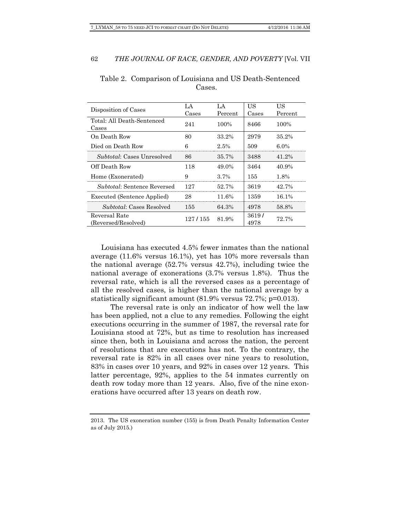| Disposition of Cases                 | $\mathsf{A}$<br>Cases | I .A<br>Percent | US<br>Cases   | US<br>Percent |
|--------------------------------------|-----------------------|-----------------|---------------|---------------|
| Total: All Death-Sentenced<br>Cases  | 241                   | 100%            | 8466          | 100%          |
| On Death Row                         | 80                    | 33.2%           | 2979          | $35.2\%$      |
| Died on Death Row                    | 6                     | 2.5%            | 509           | 6.0%          |
| <i>Subtotal:</i> Cases Unresolved    | 86                    | 35.7%           | 3488          | 41.2%         |
| Off Death Row                        | 118                   | 49.0%           | 3464          | 40.9%         |
| Home (Exonerated)                    | 9                     | $3.7\%$         | 155           | 1.8%          |
| <i>Subtotal:</i> Sentence Reversed   | 197                   | 52.7%           | 3619          | 42.7%         |
| <b>Executed (Sentence Applied)</b>   | 28                    | 11.6%           | 1359          | 16.1%         |
| <i>Subtotal:</i> Cases Resolved      | 155                   | 64.3%           | 4978          | 58.8%         |
| Reversal Rate<br>(Reversed/Resolved) | 127/155               | 81.9%           | 3619/<br>4978 | 72.7%         |

Table 2. Comparison of Louisiana and US Death-Sentenced Cases.

 Louisiana has executed 4.5% fewer inmates than the national average (11.6% versus 16.1%), yet has 10% more reversals than the national average (52.7% versus 42.7%), including twice the national average of exonerations (3.7% versus 1.8%). Thus the reversal rate, which is all the reversed cases as a percentage of all the resolved cases, is higher than the national average by a statistically significant amount (81.9% versus 72.7%; p=0.013).

The reversal rate is only an indicator of how well the law has been applied, not a clue to any remedies. Following the eight executions occurring in the summer of 1987, the reversal rate for Louisiana stood at 72%, but as time to resolution has increased since then, both in Louisiana and across the nation, the percent of resolutions that are executions has not. To the contrary, the reversal rate is 82% in all cases over nine years to resolution, 83% in cases over 10 years, and 92% in cases over 12 years. This latter percentage, 92%, applies to the 54 inmates currently on death row today more than 12 years. Also, five of the nine exonerations have occurred after 13 years on death row.

<sup>2013.</sup> The US exoneration number (155) is from Death Penalty Information Center as of July 2015.)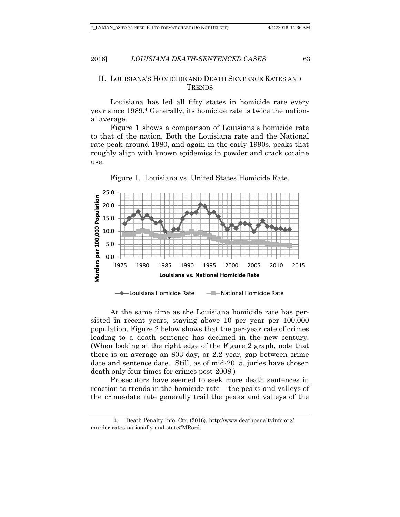### II. LOUISIANA'S HOMICIDE AND DEATH SENTENCE RATES AND **TRENDS**

Louisiana has led all fifty states in homicide rate every year since 1989.4 Generally, its homicide rate is twice the national average.

Figure 1 shows a comparison of Louisiana's homicide rate to that of the nation. Both the Louisiana rate and the National rate peak around 1980, and again in the early 1990s, peaks that roughly align with known epidemics in powder and crack cocaine use.



Figure 1. Louisiana vs. United States Homicide Rate.

At the same time as the Louisiana homicide rate has persisted in recent years, staying above 10 per year per 100,000 population, Figure 2 below shows that the per-year rate of crimes leading to a death sentence has declined in the new century. (When looking at the right edge of the Figure 2 graph, note that there is on average an 803-day, or 2.2 year, gap between crime date and sentence date. Still, as of mid-2015, juries have chosen death only four times for crimes post-2008.)

Prosecutors have seemed to seek more death sentences in reaction to trends in the homicide rate – the peaks and valleys of the crime-date rate generally trail the peaks and valleys of the

 <sup>4.</sup> Death Penalty Info. Ctr. (2016), http://www.deathpenaltyinfo.org/ murder-rates-nationally-and-state#MRord.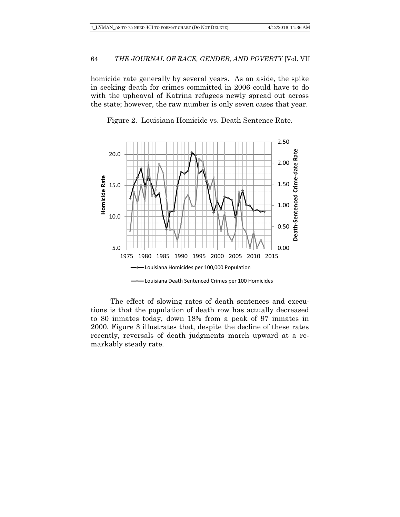homicide rate generally by several years. As an aside, the spike in seeking death for crimes committed in 2006 could have to do with the upheaval of Katrina refugees newly spread out across the state; however, the raw number is only seven cases that year.



Figure 2. Louisiana Homicide vs. Death Sentence Rate.

The effect of slowing rates of death sentences and executions is that the population of death row has actually decreased to 80 inmates today, down 18% from a peak of 97 inmates in 2000. Figure 3 illustrates that, despite the decline of these rates recently, reversals of death judgments march upward at a remarkably steady rate.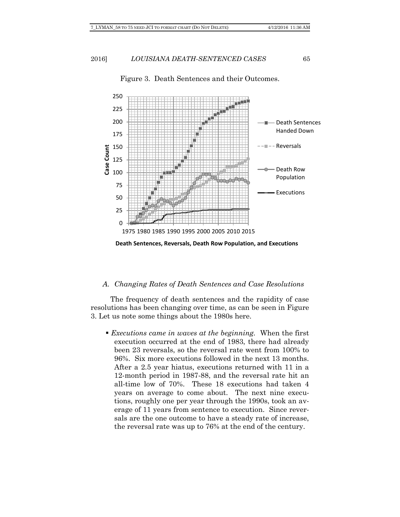

# Figure 3. Death Sentences and their Outcomes.

### *A. Changing Rates of Death Sentences and Case Resolutions*

The frequency of death sentences and the rapidity of case resolutions has been changing over time, as can be seen in Figure 3. Let us note some things about the 1980s here.

 *Executions came in waves at the beginning.* When the first execution occurred at the end of 1983, there had already been 23 reversals, so the reversal rate went from 100% to 96%. Six more executions followed in the next 13 months. After a 2.5 year hiatus, executions returned with 11 in a 12-month period in 1987-88, and the reversal rate hit an all-time low of 70%. These 18 executions had taken 4 years on average to come about. The next nine executions, roughly one per year through the 1990s, took an average of 11 years from sentence to execution. Since reversals are the one outcome to have a steady rate of increase, the reversal rate was up to 76% at the end of the century.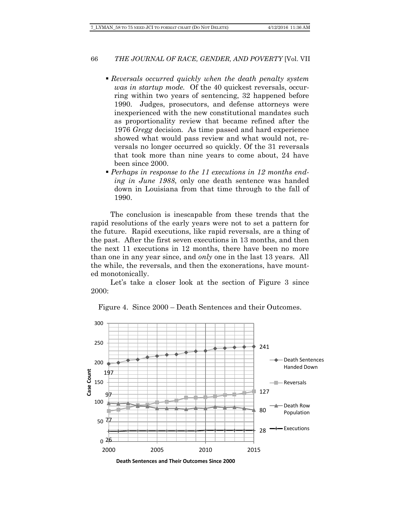- *Reversals occurred quickly when the death penalty system was in startup mode.* Of the 40 quickest reversals, occurring within two years of sentencing, 32 happened before 1990. Judges, prosecutors, and defense attorneys were inexperienced with the new constitutional mandates such as proportionality review that became refined after the 1976 *Gregg* decision. As time passed and hard experience showed what would pass review and what would not, reversals no longer occurred so quickly. Of the 31 reversals that took more than nine years to come about, 24 have been since 2000.
- *Perhaps in response to the 11 executions in 12 months ending in June 1988*, only one death sentence was handed down in Louisiana from that time through to the fall of 1990.

The conclusion is inescapable from these trends that the rapid resolutions of the early years were not to set a pattern for the future. Rapid executions, like rapid reversals, are a thing of the past. After the first seven executions in 13 months, and then the next 11 executions in 12 months, there have been no more than one in any year since, and *only* one in the last 13 years. All the while, the reversals, and then the exonerations, have mounted monotonically.

Let's take a closer look at the section of Figure 3 since 2000:



Figure 4. Since 2000 – Death Sentences and their Outcomes.

**Death Sentences and Their Outcomes Since 2000**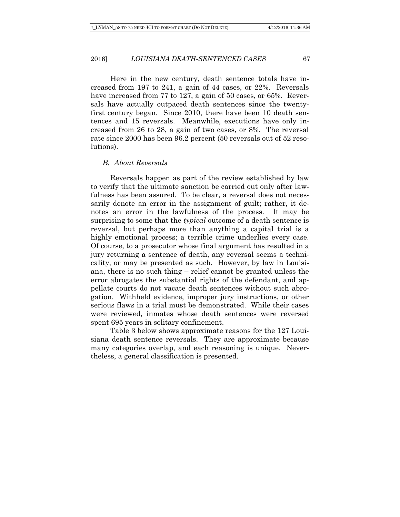Here in the new century, death sentence totals have increased from 197 to 241, a gain of 44 cases, or 22%. Reversals have increased from 77 to 127, a gain of 50 cases, or 65%. Reversals have actually outpaced death sentences since the twentyfirst century began. Since 2010, there have been 10 death sentences and 15 reversals. Meanwhile, executions have only increased from 26 to 28, a gain of two cases, or 8%. The reversal rate since 2000 has been 96.2 percent (50 reversals out of 52 resolutions).

#### *B. About Reversals*

Reversals happen as part of the review established by law to verify that the ultimate sanction be carried out only after lawfulness has been assured. To be clear, a reversal does not necessarily denote an error in the assignment of guilt; rather, it denotes an error in the lawfulness of the process. It may be surprising to some that the *typical* outcome of a death sentence is reversal, but perhaps more than anything a capital trial is a highly emotional process; a terrible crime underlies every case. Of course, to a prosecutor whose final argument has resulted in a jury returning a sentence of death, any reversal seems a technicality, or may be presented as such. However, by law in Louisiana, there is no such thing – relief cannot be granted unless the error abrogates the substantial rights of the defendant, and appellate courts do not vacate death sentences without such abrogation. Withheld evidence, improper jury instructions, or other serious flaws in a trial must be demonstrated. While their cases were reviewed, inmates whose death sentences were reversed spent 695 years in solitary confinement.

Table 3 below shows approximate reasons for the 127 Louisiana death sentence reversals. They are approximate because many categories overlap, and each reasoning is unique. Nevertheless, a general classification is presented.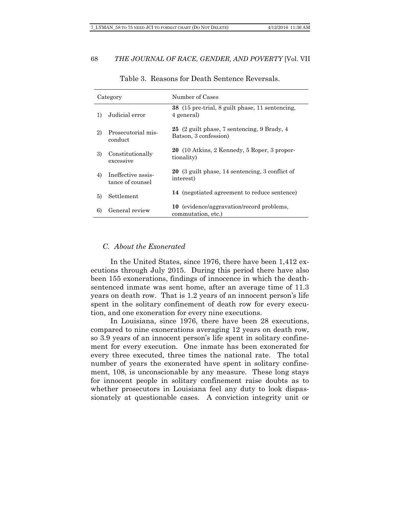|    | Category                               | Number of Cases                                                        |
|----|----------------------------------------|------------------------------------------------------------------------|
| 1) | Judicial error                         | 38 (15 pre-trial, 8 guilt phase, 11 sentencing,<br>4 general)          |
| 2) | Prosecutorial mis-<br>conduct          | 25 (2 guilt phase, 7 sentencing, 9 Brady, 4<br>Batson, 3 confession)   |
| 3) | Constitutionally<br>excessive          | 20 (10 Atkins, 2 Kennedy, 5 Roper, 3 propor-<br>tionality)             |
| 4) | Ineffective assis-<br>tance of counsel | 20 (3 guilt phase, 14 sentencing, 3 conflict of<br>interest)           |
| 5) | Settlement                             | 14 (negotiated agreement to reduce sentence)                           |
| 6) | General review                         | <b>10</b> (evidence/aggravation/record problems,<br>commutation, etc.) |

Table 3. Reasons for Death Sentence Reversals.

### *C. About the Exonerated*

In the United States, since 1976, there have been 1,412 executions through July 2015. During this period there have also been 155 exonerations, findings of innocence in which the deathsentenced inmate was sent home, after an average time of 11.3 years on death row. That is 1.2 years of an innocent person's life spent in the solitary confinement of death row for every execution, and one exoneration for every nine executions.

In Louisiana, since 1976, there have been 28 executions, compared to nine exonerations averaging 12 years on death row, so 3.9 years of an innocent person's life spent in solitary confinement for every execution. One inmate has been exonerated for every three executed, three times the national rate. The total number of years the exonerated have spent in solitary confinement, 108, is unconscionable by any measure. These long stays for innocent people in solitary confinement raise doubts as to whether prosecutors in Louisiana feel any duty to look dispassionately at questionable cases. A conviction integrity unit or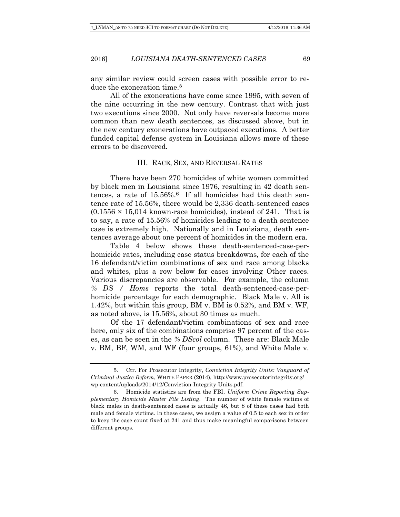any similar review could screen cases with possible error to reduce the exoneration time.<sup>5</sup>

All of the exonerations have come since 1995, with seven of the nine occurring in the new century. Contrast that with just two executions since 2000. Not only have reversals become more common than new death sentences, as discussed above, but in the new century exonerations have outpaced executions. A better funded capital defense system in Louisiana allows more of these errors to be discovered.

### III. RACE, SEX, AND REVERSAL RATES

There have been 270 homicides of white women committed by black men in Louisiana since 1976, resulting in 42 death sentences, a rate of  $15.56\%$ .<sup>6</sup> If all homicides had this death sentence rate of 15.56%, there would be 2,336 death-sentenced cases  $(0.1556 \times 15.014$  known-race homicides), instead of 241. That is to say, a rate of 15.56% of homicides leading to a death sentence case is extremely high. Nationally and in Louisiana, death sentences average about one percent of homicides in the modern era.

Table 4 below shows these death-sentenced-case-perhomicide rates, including case status breakdowns, for each of the 16 defendant/victim combinations of sex and race among blacks and whites, plus a row below for cases involving Other races. Various discrepancies are observable. For example, the column *% DS / Homs* reports the total death-sentenced-case-perhomicide percentage for each demographic. Black Male v. All is 1.42%, but within this group, BM v. BM is 0.52%, and BM v. WF, as noted above, is 15.56%, about 30 times as much.

Of the 17 defendant/victim combinations of sex and race here, only six of the combinations comprise 97 percent of the cases, as can be seen in the *% DScol* column. These are: Black Male v. BM, BF, WM, and WF (four groups, 61%), and White Male v.

 <sup>5.</sup> Ctr. For Prosecutor Integrity, *Conviction Integrity Units: Vanguard of Criminal Justice Reform*, WHITE PAPER (2014), http://www.prosecutorintegrity.org/ wp-content/uploads/2014/12/Conviction-Integrity-Units.pdf.

 <sup>6.</sup> Homicide statistics are from the FBI, *Uniform Crime Reporting Supplementary Homicide Master File Listing*. The number of white female victims of black males in death-sentenced cases is actually 46, but 8 of these cases had both male and female victims. In these cases, we assign a value of 0.5 to each sex in order to keep the case count fixed at 241 and thus make meaningful comparisons between different groups.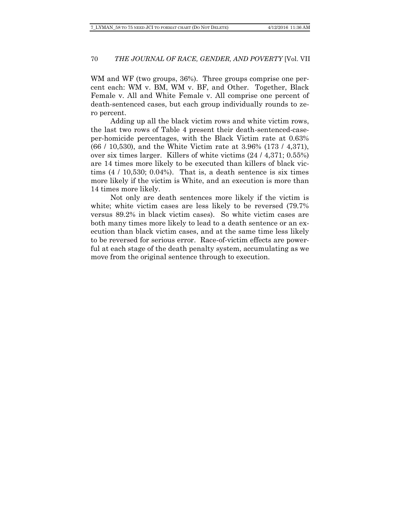WM and WF (two groups, 36%). Three groups comprise one percent each: WM v. BM, WM v. BF, and Other. Together, Black Female v. All and White Female v. All comprise one percent of death-sentenced cases, but each group individually rounds to zero percent.

Adding up all the black victim rows and white victim rows, the last two rows of Table 4 present their death-sentenced-caseper-homicide percentages, with the Black Victim rate at 0.63% (66 / 10,530), and the White Victim rate at 3.96% (173 / 4,371), over six times larger. Killers of white victims (24 / 4,371; 0.55%) are 14 times more likely to be executed than killers of black victims  $(4 / 10,530; 0.04%)$ . That is, a death sentence is six times more likely if the victim is White, and an execution is more than 14 times more likely.

Not only are death sentences more likely if the victim is white; white victim cases are less likely to be reversed  $(79.7\%$ versus 89.2% in black victim cases). So white victim cases are both many times more likely to lead to a death sentence or an execution than black victim cases, and at the same time less likely to be reversed for serious error. Race-of-victim effects are powerful at each stage of the death penalty system, accumulating as we move from the original sentence through to execution.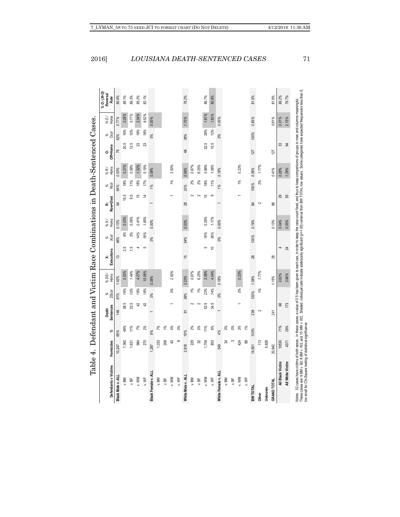| Defendants v Victims | Homicides      | వ             | <b>Sentences</b><br>Death | %<br>DScol    | % DS/<br>Homs | Executions<br>× | %<br>Xcol | Homs<br>XX | Row+Died<br>ċż | Rcol<br>% | %R/<br>Homs | Off+Home<br>ö | % 8  | Homs<br>/0% | % O/ (X+O)<br><b>Reversal</b><br>Rate |
|----------------------|----------------|---------------|---------------------------|---------------|---------------|-----------------|-----------|------------|----------------|-----------|-------------|---------------|------|-------------|---------------------------------------|
| Black Male v. ALL    | 10,247         | 69%           | 146                       | 61%           | 1.42%         | 13              | 46%       | 0.13%      | £,             | 64%       | 0.53%       | 79            | 62%  | 0.77%       | 85.9%                                 |
| v. BM                | 7,362          | 49%           | 38.5                      | 16%           | 0.52%         | 2.5             | 9%        | 0.03%      | 15.5           | 18%       | 0.21%       | 20.5          | 16%  | 0.28%       | 89.1%                                 |
| b, BF                | 1,631          | 11%           | 23.5                      | 10%           | 1.44%         | <u>ي</u>        | 5%        | 0.09%      | 9.5            | 11%       | 0.58%       | 12.5          | 10%  | 0.77%       | 89.3%                                 |
| v.WM                 | 984            | 7%            | 42                        | 18%           | 4.27%         |                 | 14%       | 0.41%      | 15             | 18%       | 1.52%       | 23            | 18%  | 2.34%       | 85.2%                                 |
| v.WF                 | 270            | 2%            | 42                        | 18%           | 15.56%        |                 | 18%       | 1.85%      | 4              | 17%       | 5.19%       | 23            | 18%  | 8.52%       | 82.1%                                 |
| Black Female v. ALI  | 287            | 9%            |                           | 0%            | 0.08%         |                 | 0%        | 0.00%      |                | 1%        | 0.08%       |               | 0%   | 0.00%       |                                       |
| v. BM                | 1,033          | 7%            |                           |               |               |                 |           |            |                |           |             |               |      |             |                                       |
| y.BF                 | 206            | $\frac{9}{6}$ |                           |               |               |                 |           |            |                |           |             |               |      |             |                                       |
| v.WM                 | $\overline{4}$ | 0%            |                           | $\frac{6}{6}$ | 2.50%         |                 |           |            |                | 1%        | 2.50%       |               |      |             |                                       |
| v.WF                 | $\infty$       | 0%            |                           |               |               |                 |           |            |                |           |             |               |      |             |                                       |
| White Male v. ALI    | 2,818          | 19%           | $\overline{5}$            | 38%           | 3.23%         | 15              | 54%       | 0.53%      | 28             | 33%       | 0.99%       | 48            | 38%  | 1.70%       | 76.2%                                 |
| v. BM                | 229            | 2%            |                           | $\frac{9}{6}$ | 0.87%         |                 |           |            |                | 2%        | 0.87%       |               |      |             |                                       |
| b, BF                | 32             | 0%            | $\sim$                    | $\frac{5}{6}$ | 6.25%         |                 |           |            |                | 2%        | 6.25%       |               |      |             |                                       |
| v.WM                 | 1,704          | 11%           | 52.5                      | 22%           | 3.08%         |                 | 18%<br>5  | 0.29%      | 15             | 18%       | 0.88%       | 32.5          | 26%  | 1.91%       | 86.7%                                 |
| v.WF                 | 853            | 6%            | 34.5                      | 14%           | 4.04%         | $\overline{a}$  | 36%       | 1.17%      | ග              | 11%       | 1.06%       | 15.5          | 12%  | 1.82%       | 60.8%                                 |
| White Female v. ALI  | 549            | 4%            |                           | 0%            | 0.18%         |                 | 0%        | 0.00%      |                | 1%        | 0.18%       |               | 0%   | 0.00%       |                                       |
| v. BM                | ≵              | 0%            |                           |               |               |                 |           |            |                |           |             |               |      |             |                                       |
| v. BF                | S              | 0%            |                           |               |               |                 |           |            |                |           |             |               |      |             |                                       |
| v.WM                 | 424            | 3%            |                           | 0%            | 0.23%         |                 |           |            |                | 1%        | 0.23%       |               |      |             |                                       |
| v.WF                 | 88             | 1%            |                           |               |               |                 |           |            |                |           |             |               |      |             |                                       |
| <b>BWTOTAL</b>       | 14,901         | 100%          | 239                       | 100%          | 1.58%         | 28              | 100%      | 0.19%      | S,             | 100%      | 0.56%       | 127           | 100% | 0.85%       | 81.9%                                 |
| Other                | 113            |               | $\sim$                    | $\frac{9}{6}$ | 1.77%         |                 |           |            | 2              | 2%        | 1.77%       |               |      |             |                                       |
| Unknown              | 5,928          |               |                           |               |               |                 |           |            |                |           |             |               |      |             |                                       |
| <b>GRAND TOTAL</b>   | 20,942         |               | 241                       |               | 1.15%         | 28              |           | 0.13%      | 86             |           | 0.41%       | 127           |      | 0.61%       | 81.9%                                 |
| All Black Victim     | 10530          | 71%           | 89                        |               | 0.63%         |                 |           | 0.04%      | 29             |           | 0.28%       | 33            |      | 0.31%       | 89.2%                                 |
| All White Victim     | 4371           | 29%           | 173                       |               | 3.96%         | 24              |           | 0.55%      | 55             |           | 1.26%       | æ             |      | 2.15%       | 79.7%                                 |

too small for Chi-Square testing of statistical significance.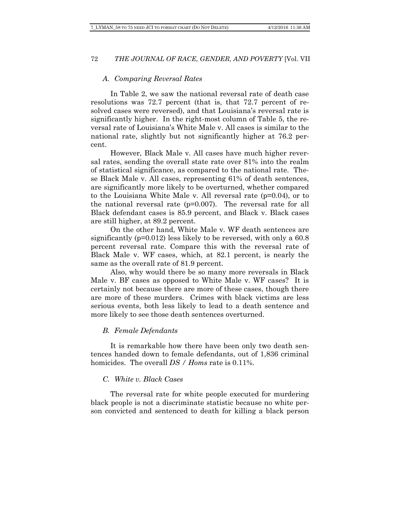### *A. Comparing Reversal Rates*

In Table 2, we saw the national reversal rate of death case resolutions was 72.7 percent (that is, that 72.7 percent of resolved cases were reversed), and that Louisiana's reversal rate is significantly higher. In the right-most column of Table 5, the reversal rate of Louisiana's White Male v. All cases is similar to the national rate, slightly but not significantly higher at 76.2 percent.

However, Black Male v. All cases have much higher reversal rates, sending the overall state rate over 81% into the realm of statistical significance, as compared to the national rate. These Black Male v. All cases, representing 61% of death sentences, are significantly more likely to be overturned, whether compared to the Louisiana White Male v. All reversal rate (p=0.04), or to the national reversal rate  $(p=0.007)$ . The reversal rate for all Black defendant cases is 85.9 percent, and Black v. Black cases are still higher, at 89.2 percent.

On the other hand, White Male v. WF death sentences are significantly  $(p=0.012)$  less likely to be reversed, with only a 60.8 percent reversal rate. Compare this with the reversal rate of Black Male v. WF cases, which, at 82.1 percent, is nearly the same as the overall rate of 81.9 percent.

Also, why would there be so many more reversals in Black Male v. BF cases as opposed to White Male v. WF cases? It is certainly not because there are more of these cases, though there are more of these murders. Crimes with black victims are less serious events, both less likely to lead to a death sentence and more likely to see those death sentences overturned.

### *B. Female Defendants*

It is remarkable how there have been only two death sentences handed down to female defendants, out of 1,836 criminal homicides. The overall *DS / Homs* rate is 0.11%.

#### *C. White v. Black Cases*

The reversal rate for white people executed for murdering black people is not a discriminate statistic because no white person convicted and sentenced to death for killing a black person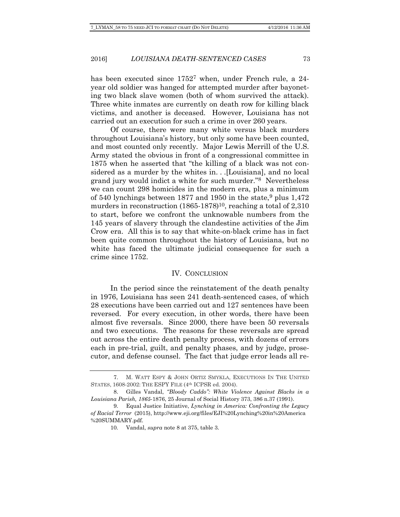has been executed since  $1752^7$  when, under French rule, a 24year old soldier was hanged for attempted murder after bayoneting two black slave women (both of whom survived the attack). Three white inmates are currently on death row for killing black victims, and another is deceased. However, Louisiana has not carried out an execution for such a crime in over 260 years.

Of course, there were many white versus black murders throughout Louisiana's history, but only some have been counted, and most counted only recently. Major Lewis Merrill of the U.S. Army stated the obvious in front of a congressional committee in 1875 when he asserted that "the killing of a black was not considered as a murder by the whites in. . .[Louisiana], and no local grand jury would indict a white for such murder."8 Nevertheless we can count 298 homicides in the modern era, plus a minimum of 540 lynchings between 1877 and 1950 in the state,  $9$  plus 1,472 murders in reconstruction  $(1865-1878)^{10}$ , reaching a total of 2,310 to start, before we confront the unknowable numbers from the 145 years of slavery through the clandestine activities of the Jim Crow era. All this is to say that white-on-black crime has in fact been quite common throughout the history of Louisiana, but no white has faced the ultimate judicial consequence for such a crime since 1752.

#### IV. CONCLUSION

In the period since the reinstatement of the death penalty in 1976, Louisiana has seen 241 death-sentenced cases, of which 28 executions have been carried out and 127 sentences have been reversed. For every execution, in other words, there have been almost five reversals. Since 2000, there have been 50 reversals and two executions. The reasons for these reversals are spread out across the entire death penalty process, with dozens of errors each in pre-trial, guilt, and penalty phases, and by judge, prosecutor, and defense counsel. The fact that judge error leads all re-

 <sup>7.</sup> M. WATT ESPY & JOHN ORTIZ SMYKLA, EXECUTIONS IN THE UNITED STATES, 1608-2002: THE ESPY FILE (4th ICPSR ed. 2004).

 <sup>8.</sup> Gilles Vandal, *"Bloody Caddo": White Violence Against Blacks in a Louisiana Parish, 1865-*1876, 25 Journal of Social History 373, 386 n.37 (1991).

 <sup>9.</sup> Equal Justice Initiative, *Lynching in America: Confronting the Legacy of Racial Terror* (2015), http://www.eji.org/files/EJI%20Lynching%20in%20America %20SUMMARY.pdf.

 <sup>10.</sup> Vandal, *supra* note 8 at 375, table 3.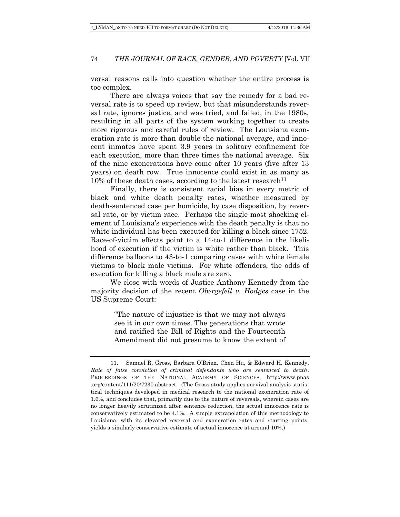versal reasons calls into question whether the entire process is too complex.

There are always voices that say the remedy for a bad reversal rate is to speed up review, but that misunderstands reversal rate, ignores justice, and was tried, and failed, in the 1980s, resulting in all parts of the system working together to create more rigorous and careful rules of review. The Louisiana exoneration rate is more than double the national average, and innocent inmates have spent 3.9 years in solitary confinement for each execution, more than three times the national average. Six of the nine exonerations have come after 10 years (five after 13 years) on death row. True innocence could exist in as many as  $10\%$  of these death cases, according to the latest research<sup>11</sup>

Finally, there is consistent racial bias in every metric of black and white death penalty rates, whether measured by death-sentenced case per homicide, by case disposition, by reversal rate, or by victim race. Perhaps the single most shocking element of Louisiana's experience with the death penalty is that no white individual has been executed for killing a black since 1752. Race-of-victim effects point to a 14-to-1 difference in the likelihood of execution if the victim is white rather than black. This difference balloons to 43-to-1 comparing cases with white female victims to black male victims. For white offenders, the odds of execution for killing a black male are zero.

We close with words of Justice Anthony Kennedy from the majority decision of the recent *Obergefell v. Hodges* case in the US Supreme Court:

> "The nature of injustice is that we may not always see it in our own times. The generations that wrote and ratified the Bill of Rights and the Fourteenth Amendment did not presume to know the extent of

 <sup>11.</sup> Samuel R. Gross, Barbara O'Brien, Chen Hu, & Edward H. Kennedy, *Rate of false conviction of criminal defendants who are sentenced to death*. PROCEEDINGS OF THE NATIONAL ACADEMY OF SCIENCES, http://www.pnas .org/content/111/20/7230.abstract. (The Gross study applies survival analysis statistical techniques developed in medical research to the national exoneration rate of 1.6%, and concludes that, primarily due to the nature of reversals, wherein cases are no longer heavily scrutinized after sentence reduction, the actual innocence rate is conservatively estimated to be 4.1%. A simple extrapolation of this methodology to Louisiana, with its elevated reversal and exoneration rates and starting points, yields a similarly conservative estimate of actual innocence at around 10%.)